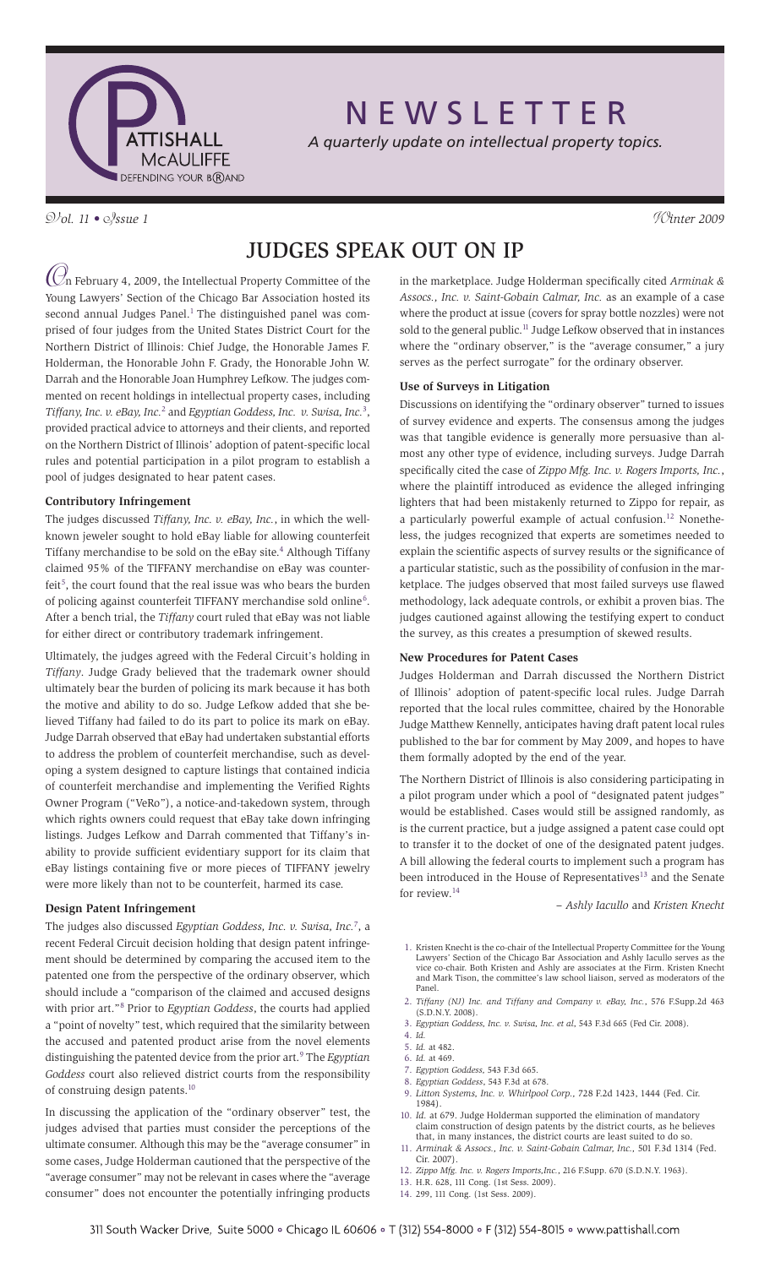

N E W S L E T T E R

*A quarterly update on intellectual property topics.*

V*ol. 11 •* I*ssue 1* W*inter 2009*

# Judges Speak Out On IP

O n February 4, 2009, the Intellectual Property Committee of the Young Lawyers' Section of the Chicago Bar Association hosted its second annual Judges Panel.<sup>1</sup> The distinguished panel was comprised of four judges from the United States District Court for the Northern District of Illinois: Chief Judge, the Honorable James F. Holderman, the Honorable John F. Grady, the Honorable John W. Darrah and the Honorable Joan Humphrey Lefkow. The judges commented on recent holdings in intellectual property cases, including Tiffany, Inc. v. eBay, Inc.<sup>2</sup> and *Egyptian Goddess, Inc. v. Swisa, Inc.*<sup>3</sup>, provided practical advice to attorneys and their clients, and reported on the Northern District of Illinois' adoption of patent-specific local rules and potential participation in a pilot program to establish a pool of judges designated to hear patent cases.

# **Contributory Infringement**

The judges discussed *Tiffany, Inc. v. eBay, Inc.*, in which the wellknown jeweler sought to hold eBay liable for allowing counterfeit Tiffany merchandise to be sold on the eBay site.<sup>4</sup> Although Tiffany claimed 95% of the TIFFANY merchandise on eBay was counterfeit<sup>5</sup>, the court found that the real issue was who bears the burden of policing against counterfeit TIFFANY merchandise sold online<sup>6</sup>. After a bench trial, the *Tiffany* court ruled that eBay was not liable for either direct or contributory trademark infringement.

Ultimately, the judges agreed with the Federal Circuit's holding in *Tiffany*. Judge Grady believed that the trademark owner should ultimately bear the burden of policing its mark because it has both the motive and ability to do so. Judge Lefkow added that she believed Tiffany had failed to do its part to police its mark on eBay. Judge Darrah observed that eBay had undertaken substantial efforts to address the problem of counterfeit merchandise, such as developing a system designed to capture listings that contained indicia of counterfeit merchandise and implementing the Verified Rights Owner Program ("VeRo"), a notice-and-takedown system, through which rights owners could request that eBay take down infringing listings. Judges Lefkow and Darrah commented that Tiffany's inability to provide sufficient evidentiary support for its claim that eBay listings containing five or more pieces of TIFFANY jewelry were more likely than not to be counterfeit, harmed its case.

# **Design Patent Infringement**

The judges also discussed *Egyptian Goddess, Inc. v. Swisa, Inc.*<sup>7</sup> , a recent Federal Circuit decision holding that design patent infringement should be determined by comparing the accused item to the patented one from the perspective of the ordinary observer, which should include a "comparison of the claimed and accused designs with prior art."<sup>8</sup> Prior to *Egyptian Goddess*, the courts had applied a "point of novelty" test, which required that the similarity between the accused and patented product arise from the novel elements distinguishing the patented device from the prior art.<sup>9</sup> The *Egyptian Goddess* court also relieved district courts from the responsibility of construing design patents.10

In discussing the application of the "ordinary observer" test, the judges advised that parties must consider the perceptions of the ultimate consumer. Although this may be the "average consumer" in some cases, Judge Holderman cautioned that the perspective of the "average consumer" may not be relevant in cases where the "average consumer" does not encounter the potentially infringing products in the marketplace. Judge Holderman specifically cited *Arminak & Assocs., Inc. v. Saint-Gobain Calmar, Inc.* as an example of a case where the product at issue (covers for spray bottle nozzles) were not sold to the general public.<sup>11</sup> Judge Lefkow observed that in instances where the "ordinary observer," is the "average consumer," a jury serves as the perfect surrogate" for the ordinary observer.

## **Use of Surveys in Litigation**

Discussions on identifying the "ordinary observer" turned to issues of survey evidence and experts. The consensus among the judges was that tangible evidence is generally more persuasive than almost any other type of evidence, including surveys. Judge Darrah specifically cited the case of *Zippo Mfg. Inc. v. Rogers Imports, Inc.*, where the plaintiff introduced as evidence the alleged infringing lighters that had been mistakenly returned to Zippo for repair, as a particularly powerful example of actual confusion.<sup>12</sup> Nonetheless, the judges recognized that experts are sometimes needed to explain the scientific aspects of survey results or the significance of a particular statistic, such as the possibility of confusion in the marketplace. The judges observed that most failed surveys use flawed methodology, lack adequate controls, or exhibit a proven bias. The judges cautioned against allowing the testifying expert to conduct the survey, as this creates a presumption of skewed results.

#### **New Procedures for Patent Cases**

Judges Holderman and Darrah discussed the Northern District of Illinois' adoption of patent-specific local rules. Judge Darrah reported that the local rules committee, chaired by the Honorable Judge Matthew Kennelly, anticipates having draft patent local rules published to the bar for comment by May 2009, and hopes to have them formally adopted by the end of the year.

The Northern District of Illinois is also considering participating in a pilot program under which a pool of "designated patent judges" would be established. Cases would still be assigned randomly, as is the current practice, but a judge assigned a patent case could opt to transfer it to the docket of one of the designated patent judges. A bill allowing the federal courts to implement such a program has been introduced in the House of Representatives<sup>13</sup> and the Senate for review.14

*– Ashly Iacullo* and *Kristen Knecht*

- 1. Kristen Knecht is the co-chair of the Intellectual Property Committee for the Young Lawyers' Section of the Chicago Bar Association and Ashly Iacullo serves as the vice co-chair. Both Kristen and Ashly are associates at the Firm. Kristen Knecht and Mark Tison, the committee's law school liaison, served as moderators of the Panel.
- 2. *Tiffany (NJ) Inc. and Tiffany and Company v. eBay, Inc.*, 576 F.Supp.2d 463 (S.D.N.Y. 2008).
- 3. *Egyptian Goddess, Inc. v. Swisa, Inc. et al*, 543 F.3d 665 (Fed Cir. 2008).
- 4. *Id.*
- 5. *Id.* at 482.
- 6. *Id.* at 469.
- 7. *Egyption Goddess,* 543 F.3d 665.
- 8. *Egyptian Goddess*, 543 F.3d at 678.
- 9. *Litton Systems, Inc. v. Whirlpool Corp.,* 728 F.2d 1423, 1444 (Fed. Cir. 1984).
- 10. *Id.* at 679. Judge Holderman supported the elimination of mandatory claim construction of design patents by the district courts, as he believes that, in many instances, the district courts are least suited to do so.
- 11. *Arminak & Assocs., Inc. v. Saint-Gobain Calmar, Inc.,* 501 F.3d 1314 (Fed. Cir. 2007).
- 12. *Zippo Mfg. Inc. v. Rogers Imports,Inc.*, 216 F.Supp. 670 (S.D.N.Y. 1963).
- 13. H.R. 628, 111 Cong. (1st Sess. 2009).
- 14. 299, 111 Cong. (1st Sess. 2009).